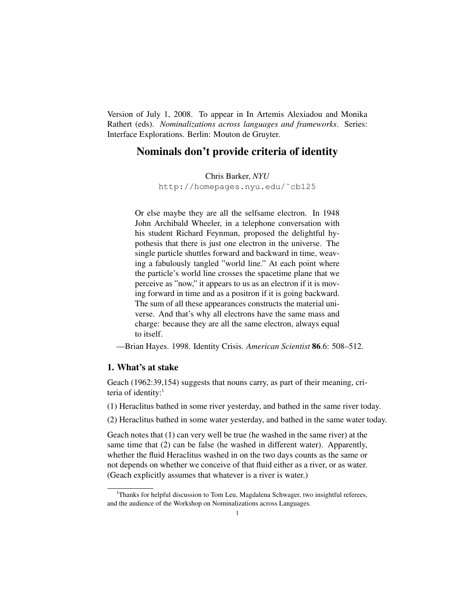Version of July 1, 2008. To appear in In Artemis Alexiadou and Monika Rathert (eds). *Nominalizations across languages and frameworks*. Series: Interface Explorations. Berlin: Mouton de Gruyter.

# Nominals don't provide criteria of identity

Chris Barker, *NYU* http://homepages.nyu.edu/˜cb125

Or else maybe they are all the selfsame electron. In 1948 John Archibald Wheeler, in a telephone conversation with his student Richard Feynman, proposed the delightful hypothesis that there is just one electron in the universe. The single particle shuttles forward and backward in time, weaving a fabulously tangled "world line." At each point where the particle's world line crosses the spacetime plane that we perceive as "now," it appears to us as an electron if it is moving forward in time and as a positron if it is going backward. The sum of all these appearances constructs the material universe. And that's why all electrons have the same mass and charge: because they are all the same electron, always equal to itself.

—Brian Hayes. 1998. Identity Crisis. *American Scientist* 86.6: 508–512.

# 1. What's at stake

Geach (1962:39,154) suggests that nouns carry, as part of their meaning, criteria of identity:<sup>1</sup>

(1) Heraclitus bathed in some river yesterday, and bathed in the same river today.

(2) Heraclitus bathed in some water yesterday, and bathed in the same water today.

Geach notes that (1) can very well be true (he washed in the same river) at the same time that (2) can be false (he washed in different water). Apparently, whether the fluid Heraclitus washed in on the two days counts as the same or not depends on whether we conceive of that fluid either as a river, or as water. (Geach explicitly assumes that whatever is a river is water.)

<sup>&</sup>lt;sup>1</sup>Thanks for helpful discussion to Tom Leu, Magdalena Schwager, two insightful referees, and the audience of the Workshop on Nominalizations across Languages.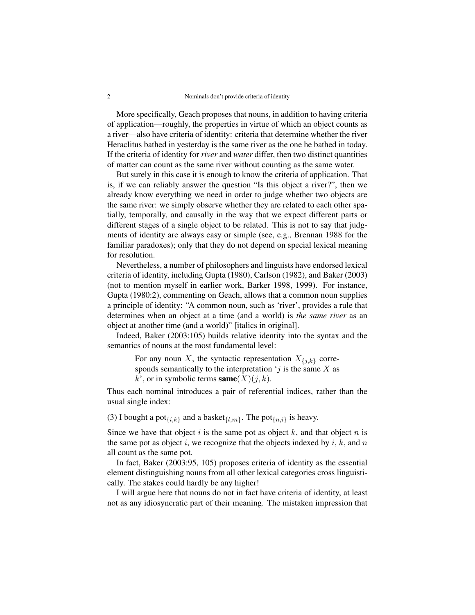More specifically, Geach proposes that nouns, in addition to having criteria of application—roughly, the properties in virtue of which an object counts as a river—also have criteria of identity: criteria that determine whether the river Heraclitus bathed in yesterday is the same river as the one he bathed in today. If the criteria of identity for *river* and *water* differ, then two distinct quantities of matter can count as the same river without counting as the same water.

But surely in this case it is enough to know the criteria of application. That is, if we can reliably answer the question "Is this object a river?", then we already know everything we need in order to judge whether two objects are the same river: we simply observe whether they are related to each other spatially, temporally, and causally in the way that we expect different parts or different stages of a single object to be related. This is not to say that judgments of identity are always easy or simple (see, e.g., Brennan 1988 for the familiar paradoxes); only that they do not depend on special lexical meaning for resolution.

Nevertheless, a number of philosophers and linguists have endorsed lexical criteria of identity, including Gupta (1980), Carlson (1982), and Baker (2003) (not to mention myself in earlier work, Barker 1998, 1999). For instance, Gupta (1980:2), commenting on Geach, allows that a common noun supplies a principle of identity: "A common noun, such as 'river', provides a rule that determines when an object at a time (and a world) is *the same river* as an object at another time (and a world)" [italics in original].

Indeed, Baker (2003:105) builds relative identity into the syntax and the semantics of nouns at the most fundamental level:

> For any noun X, the syntactic representation  $X_{\{j,k\}}$  corresponds semantically to the interpretation  $\dot{y}$  is the same X as k', or in symbolic terms  $\textbf{same}(X)(i, k)$ .

Thus each nominal introduces a pair of referential indices, rather than the usual single index:

(3) I bought a pot $\{i,k\}$  and a basket $\{l,m\}$ . The pot $\{n,i\}$  is heavy.

Since we have that object i is the same pot as object k, and that object n is the same pot as object i, we recognize that the objects indexed by i, k, and n all count as the same pot.

In fact, Baker (2003:95, 105) proposes criteria of identity as the essential element distinguishing nouns from all other lexical categories cross linguistically. The stakes could hardly be any higher!

I will argue here that nouns do not in fact have criteria of identity, at least not as any idiosyncratic part of their meaning. The mistaken impression that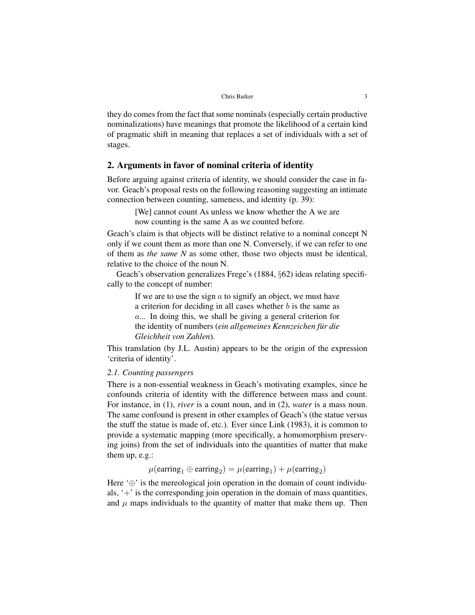they do comes from the fact that some nominals (especially certain productive nominalizations) have meanings that promote the likelihood of a certain kind of pragmatic shift in meaning that replaces a set of individuals with a set of stages.

# 2. Arguments in favor of nominal criteria of identity

Before arguing against criteria of identity, we should consider the case in favor. Geach's proposal rests on the following reasoning suggesting an intimate connection between counting, sameness, and identity (p. 39):

> [We] cannot count As unless we know whether the A we are now counting is the same A as we counted before.

Geach's claim is that objects will be distinct relative to a nominal concept N only if we count them as more than one N. Conversely, if we can refer to one of them as *the same N* as some other, those two objects must be identical, relative to the choice of the noun N.

Geach's observation generalizes Frege's (1884, §62) ideas relating specifically to the concept of number:

> If we are to use the sign  $\alpha$  to signify an object, we must have a criterion for deciding in all cases whether  $b$  is the same as a... In doing this, we shall be giving a general criterion for the identity of numbers (*ein allgemeines Kennzeichen fur die ¨ Gleichheit von Zahlen*).

This translation (by J.L. Austin) appears to be the origin of the expression 'criteria of identity'.

## *2.1. Counting passengers*

There is a non-essential weakness in Geach's motivating examples, since he confounds criteria of identity with the difference between mass and count. For instance, in (1), *river* is a count noun, and in (2), *water* is a mass noun. The same confound is present in other examples of Geach's (the statue versus the stuff the statue is made of, etc.). Ever since Link (1983), it is common to provide a systematic mapping (more specifically, a homomorphism preserving joins) from the set of individuals into the quantities of matter that make them up, e.g.:

 $\mu$ (earring<sub>1</sub>)  $\oplus$  earring<sub>2</sub>) =  $\mu$ (earring<sub>1</sub>) +  $\mu$ (earring<sub>2</sub>)

Here '⊕' is the mereological join operation in the domain of count individuals,  $+$  is the corresponding join operation in the domain of mass quantities, and  $\mu$  maps individuals to the quantity of matter that make them up. Then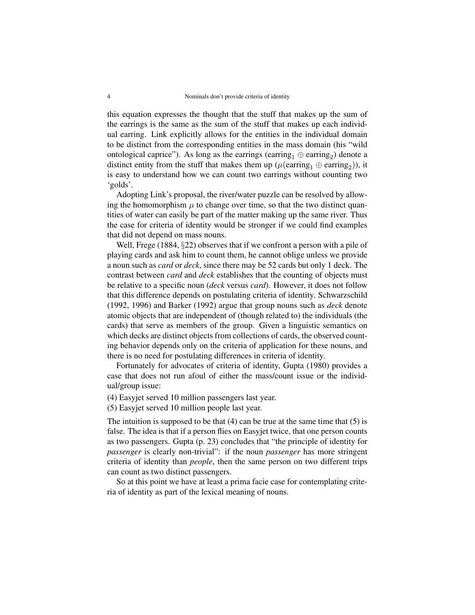this equation expresses the thought that the stuff that makes up the sum of the earrings is the same as the sum of the stuff that makes up each individual earring. Link explicitly allows for the entities in the individual domain to be distinct from the corresponding entities in the mass domain (his "wild ontological caprice"). As long as the earrings (earring<sub>1</sub>  $\oplus$  earring<sub>2</sub>) denote a distinct entity from the stuff that makes them up ( $\mu$ (earring<sub>1</sub>  $\oplus$  earring<sub>2</sub>)), it is easy to understand how we can count two earrings without counting two 'golds'.

Adopting Link's proposal, the river/water puzzle can be resolved by allowing the homomorphism  $\mu$  to change over time, so that the two distinct quantities of water can easily be part of the matter making up the same river. Thus the case for criteria of identity would be stronger if we could find examples that did not depend on mass nouns.

Well, Frege (1884, §22) observes that if we confront a person with a pile of playing cards and ask him to count them, he cannot oblige unless we provide a noun such as *card* or *deck*, since there may be 52 cards but only 1 deck. The contrast between *card* and *deck* establishes that the counting of objects must be relative to a specific noun (*deck* versus *card*). However, it does not follow that this difference depends on postulating criteria of identity. Schwarzschild (1992, 1996) and Barker (1992) argue that group nouns such as *deck* denote atomic objects that are independent of (though related to) the individuals (the cards) that serve as members of the group. Given a linguistic semantics on which decks are distinct objects from collections of cards, the observed counting behavior depends only on the criteria of application for these nouns, and there is no need for postulating differences in criteria of identity.

Fortunately for advocates of criteria of identity, Gupta (1980) provides a case that does not run afoul of either the mass/count issue or the individual/group issue:

(4) Easyjet served 10 million passengers last year.

(5) Easyjet served 10 million people last year.

The intuition is supposed to be that  $(4)$  can be true at the same time that  $(5)$  is false. The idea is that if a person flies on Easyjet twice, that one person counts as two passengers. Gupta (p. 23) concludes that "the principle of identity for *passenger* is clearly non-trivial": if the noun *passenger* has more stringent criteria of identity than *people*, then the same person on two different trips can count as two distinct passengers.

So at this point we have at least a prima facie case for contemplating criteria of identity as part of the lexical meaning of nouns.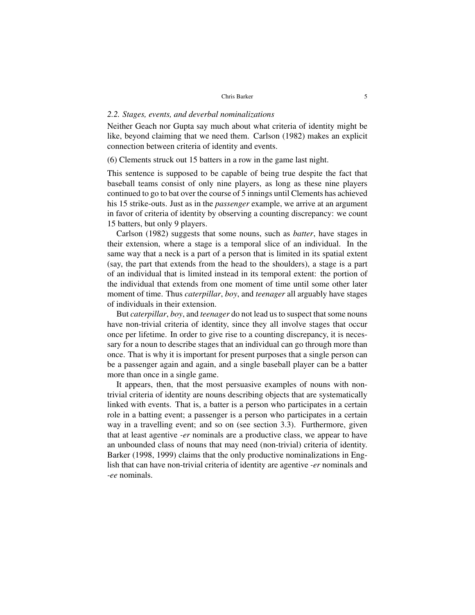# *2.2. Stages, events, and deverbal nominalizations*

Neither Geach nor Gupta say much about what criteria of identity might be like, beyond claiming that we need them. Carlson (1982) makes an explicit connection between criteria of identity and events.

(6) Clements struck out 15 batters in a row in the game last night.

This sentence is supposed to be capable of being true despite the fact that baseball teams consist of only nine players, as long as these nine players continued to go to bat over the course of 5 innings until Clements has achieved his 15 strike-outs. Just as in the *passenger* example, we arrive at an argument in favor of criteria of identity by observing a counting discrepancy: we count 15 batters, but only 9 players.

Carlson (1982) suggests that some nouns, such as *batter*, have stages in their extension, where a stage is a temporal slice of an individual. In the same way that a neck is a part of a person that is limited in its spatial extent (say, the part that extends from the head to the shoulders), a stage is a part of an individual that is limited instead in its temporal extent: the portion of the individual that extends from one moment of time until some other later moment of time. Thus *caterpillar*, *boy*, and *teenager* all arguably have stages of individuals in their extension.

But *caterpillar*, *boy*, and *teenager* do not lead us to suspect that some nouns have non-trivial criteria of identity, since they all involve stages that occur once per lifetime. In order to give rise to a counting discrepancy, it is necessary for a noun to describe stages that an individual can go through more than once. That is why it is important for present purposes that a single person can be a passenger again and again, and a single baseball player can be a batter more than once in a single game.

It appears, then, that the most persuasive examples of nouns with nontrivial criteria of identity are nouns describing objects that are systematically linked with events. That is, a batter is a person who participates in a certain role in a batting event; a passenger is a person who participates in a certain way in a travelling event; and so on (see section 3.3). Furthermore, given that at least agentive *-er* nominals are a productive class, we appear to have an unbounded class of nouns that may need (non-trivial) criteria of identity. Barker (1998, 1999) claims that the only productive nominalizations in English that can have non-trivial criteria of identity are agentive *-er* nominals and *-ee* nominals.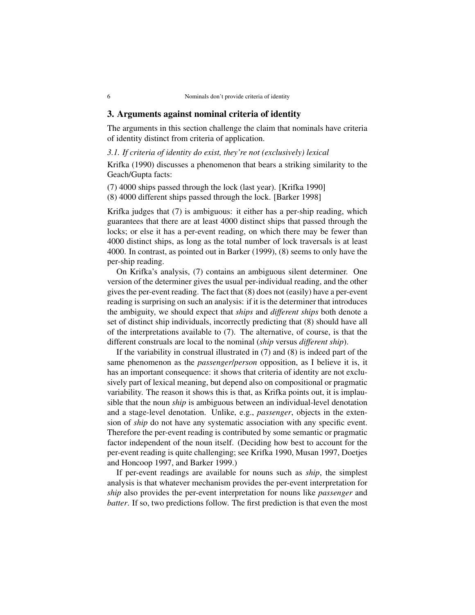# 3. Arguments against nominal criteria of identity

The arguments in this section challenge the claim that nominals have criteria of identity distinct from criteria of application.

*3.1. If criteria of identity do exist, they're not (exclusively) lexical*

Krifka (1990) discusses a phenomenon that bears a striking similarity to the Geach/Gupta facts:

(7) 4000 ships passed through the lock (last year). [Krifka 1990] (8) 4000 different ships passed through the lock. [Barker 1998]

Krifka judges that (7) is ambiguous: it either has a per-ship reading, which guarantees that there are at least 4000 distinct ships that passed through the locks; or else it has a per-event reading, on which there may be fewer than 4000 distinct ships, as long as the total number of lock traversals is at least 4000. In contrast, as pointed out in Barker (1999), (8) seems to only have the per-ship reading.

On Krifka's analysis, (7) contains an ambiguous silent determiner. One version of the determiner gives the usual per-individual reading, and the other gives the per-event reading. The fact that (8) does not (easily) have a per-event reading is surprising on such an analysis: if it is the determiner that introduces the ambiguity, we should expect that *ships* and *different ships* both denote a set of distinct ship individuals, incorrectly predicting that (8) should have all of the interpretations available to (7). The alternative, of course, is that the different construals are local to the nominal (*ship* versus *different ship*).

If the variability in construal illustrated in (7) and (8) is indeed part of the same phenomenon as the *passenger*/*person* opposition, as I believe it is, it has an important consequence: it shows that criteria of identity are not exclusively part of lexical meaning, but depend also on compositional or pragmatic variability. The reason it shows this is that, as Krifka points out, it is implausible that the noun *ship* is ambiguous between an individual-level denotation and a stage-level denotation. Unlike, e.g., *passenger*, objects in the extension of *ship* do not have any systematic association with any specific event. Therefore the per-event reading is contributed by some semantic or pragmatic factor independent of the noun itself. (Deciding how best to account for the per-event reading is quite challenging; see Krifka 1990, Musan 1997, Doetjes and Honcoop 1997, and Barker 1999.)

If per-event readings are available for nouns such as *ship*, the simplest analysis is that whatever mechanism provides the per-event interpretation for *ship* also provides the per-event interpretation for nouns like *passenger* and *batter*. If so, two predictions follow. The first prediction is that even the most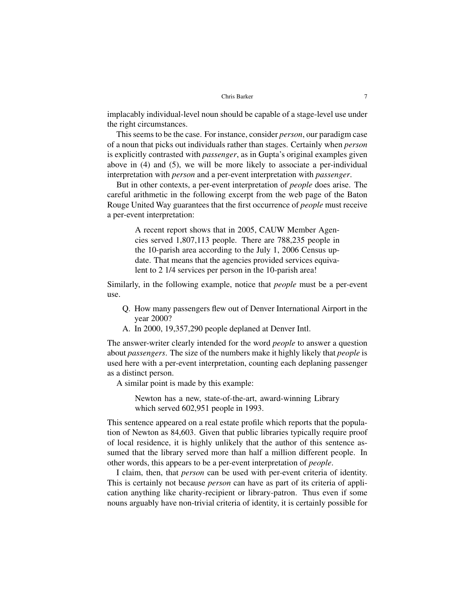implacably individual-level noun should be capable of a stage-level use under the right circumstances.

This seems to be the case. For instance, consider *person*, our paradigm case of a noun that picks out individuals rather than stages. Certainly when *person* is explicitly contrasted with *passenger*, as in Gupta's original examples given above in (4) and (5), we will be more likely to associate a per-individual interpretation with *person* and a per-event interpretation with *passenger*.

But in other contexts, a per-event interpretation of *people* does arise. The careful arithmetic in the following excerpt from the web page of the Baton Rouge United Way guarantees that the first occurrence of *people* must receive a per-event interpretation:

> A recent report shows that in 2005, CAUW Member Agencies served 1,807,113 people. There are 788,235 people in the 10-parish area according to the July 1, 2006 Census update. That means that the agencies provided services equivalent to 2 1/4 services per person in the 10-parish area!

Similarly, in the following example, notice that *people* must be a per-event use.

- Q. How many passengers flew out of Denver International Airport in the year 2000?
- A. In 2000, 19,357,290 people deplaned at Denver Intl.

The answer-writer clearly intended for the word *people* to answer a question about *passengers*. The size of the numbers make it highly likely that *people* is used here with a per-event interpretation, counting each deplaning passenger as a distinct person.

A similar point is made by this example:

Newton has a new, state-of-the-art, award-winning Library which served 602,951 people in 1993.

This sentence appeared on a real estate profile which reports that the population of Newton as 84,603. Given that public libraries typically require proof of local residence, it is highly unlikely that the author of this sentence assumed that the library served more than half a million different people. In other words, this appears to be a per-event interpretation of *people*.

I claim, then, that *person* can be used with per-event criteria of identity. This is certainly not because *person* can have as part of its criteria of application anything like charity-recipient or library-patron. Thus even if some nouns arguably have non-trivial criteria of identity, it is certainly possible for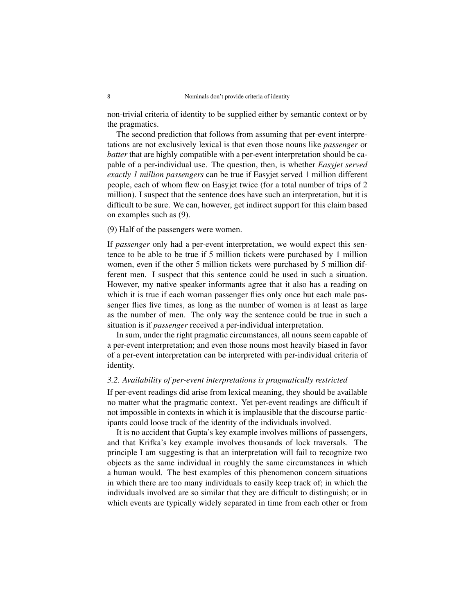non-trivial criteria of identity to be supplied either by semantic context or by the pragmatics.

The second prediction that follows from assuming that per-event interpretations are not exclusively lexical is that even those nouns like *passenger* or *batter* that are highly compatible with a per-event interpretation should be capable of a per-individual use. The question, then, is whether *Easyjet served exactly 1 million passengers* can be true if Easyjet served 1 million different people, each of whom flew on Easyjet twice (for a total number of trips of 2 million). I suspect that the sentence does have such an interpretation, but it is difficult to be sure. We can, however, get indirect support for this claim based on examples such as (9).

# (9) Half of the passengers were women.

If *passenger* only had a per-event interpretation, we would expect this sentence to be able to be true if 5 million tickets were purchased by 1 million women, even if the other 5 million tickets were purchased by 5 million different men. I suspect that this sentence could be used in such a situation. However, my native speaker informants agree that it also has a reading on which it is true if each woman passenger flies only once but each male passenger flies five times, as long as the number of women is at least as large as the number of men. The only way the sentence could be true in such a situation is if *passenger* received a per-individual interpretation.

In sum, under the right pragmatic circumstances, all nouns seem capable of a per-event interpretation; and even those nouns most heavily biased in favor of a per-event interpretation can be interpreted with per-individual criteria of identity.

# *3.2. Availability of per-event interpretations is pragmatically restricted*

If per-event readings did arise from lexical meaning, they should be available no matter what the pragmatic context. Yet per-event readings are difficult if not impossible in contexts in which it is implausible that the discourse participants could loose track of the identity of the individuals involved.

It is no accident that Gupta's key example involves millions of passengers, and that Krifka's key example involves thousands of lock traversals. The principle I am suggesting is that an interpretation will fail to recognize two objects as the same individual in roughly the same circumstances in which a human would. The best examples of this phenomenon concern situations in which there are too many individuals to easily keep track of; in which the individuals involved are so similar that they are difficult to distinguish; or in which events are typically widely separated in time from each other or from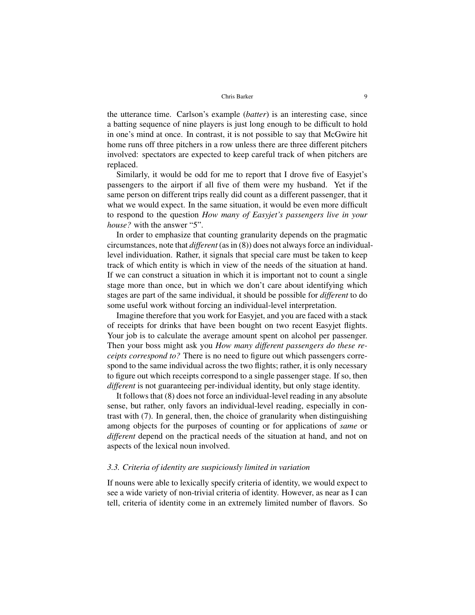the utterance time. Carlson's example (*batter*) is an interesting case, since a batting sequence of nine players is just long enough to be difficult to hold in one's mind at once. In contrast, it is not possible to say that McGwire hit home runs off three pitchers in a row unless there are three different pitchers involved: spectators are expected to keep careful track of when pitchers are replaced.

Similarly, it would be odd for me to report that I drove five of Easyjet's passengers to the airport if all five of them were my husband. Yet if the same person on different trips really did count as a different passenger, that it what we would expect. In the same situation, it would be even more difficult to respond to the question *How many of Easyjet's passengers live in your house?* with the answer "5".

In order to emphasize that counting granularity depends on the pragmatic circumstances, note that *different* (as in (8)) does not always force an individuallevel individuation. Rather, it signals that special care must be taken to keep track of which entity is which in view of the needs of the situation at hand. If we can construct a situation in which it is important not to count a single stage more than once, but in which we don't care about identifying which stages are part of the same individual, it should be possible for *different* to do some useful work without forcing an individual-level interpretation.

Imagine therefore that you work for Easyjet, and you are faced with a stack of receipts for drinks that have been bought on two recent Easyjet flights. Your job is to calculate the average amount spent on alcohol per passenger. Then your boss might ask you *How many different passengers do these receipts correspond to?* There is no need to figure out which passengers correspond to the same individual across the two flights; rather, it is only necessary to figure out which receipts correspond to a single passenger stage. If so, then *different* is not guaranteeing per-individual identity, but only stage identity.

It follows that (8) does not force an individual-level reading in any absolute sense, but rather, only favors an individual-level reading, especially in contrast with (7). In general, then, the choice of granularity when distinguishing among objects for the purposes of counting or for applications of *same* or *different* depend on the practical needs of the situation at hand, and not on aspects of the lexical noun involved.

### *3.3. Criteria of identity are suspiciously limited in variation*

If nouns were able to lexically specify criteria of identity, we would expect to see a wide variety of non-trivial criteria of identity. However, as near as I can tell, criteria of identity come in an extremely limited number of flavors. So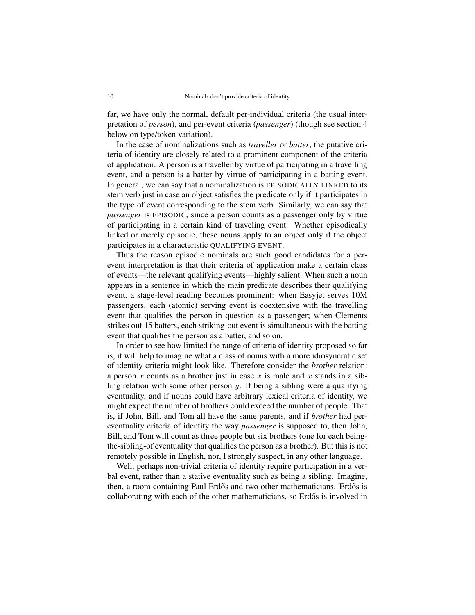far, we have only the normal, default per-individual criteria (the usual interpretation of *person*), and per-event criteria (*passenger*) (though see section 4 below on type/token variation).

In the case of nominalizations such as *traveller* or *batter*, the putative criteria of identity are closely related to a prominent component of the criteria of application. A person is a traveller by virtue of participating in a travelling event, and a person is a batter by virtue of participating in a batting event. In general, we can say that a nominalization is EPISODICALLY LINKED to its stem verb just in case an object satisfies the predicate only if it participates in the type of event corresponding to the stem verb. Similarly, we can say that *passenger* is EPISODIC, since a person counts as a passenger only by virtue of participating in a certain kind of traveling event. Whether episodically linked or merely episodic, these nouns apply to an object only if the object participates in a characteristic QUALIFYING EVENT.

Thus the reason episodic nominals are such good candidates for a perevent interpretation is that their criteria of application make a certain class of events—the relevant qualifying events—highly salient. When such a noun appears in a sentence in which the main predicate describes their qualifying event, a stage-level reading becomes prominent: when Easyjet serves 10M passengers, each (atomic) serving event is coextensive with the travelling event that qualifies the person in question as a passenger; when Clements strikes out 15 batters, each striking-out event is simultaneous with the batting event that qualifies the person as a batter, and so on.

In order to see how limited the range of criteria of identity proposed so far is, it will help to imagine what a class of nouns with a more idiosyncratic set of identity criteria might look like. Therefore consider the *brother* relation: a person  $x$  counts as a brother just in case  $x$  is male and  $x$  stands in a sibling relation with some other person  $y$ . If being a sibling were a qualifying eventuality, and if nouns could have arbitrary lexical criteria of identity, we might expect the number of brothers could exceed the number of people. That is, if John, Bill, and Tom all have the same parents, and if *brother* had pereventuality criteria of identity the way *passenger* is supposed to, then John, Bill, and Tom will count as three people but six brothers (one for each beingthe-sibling-of eventuality that qualifies the person as a brother). But this is not remotely possible in English, nor, I strongly suspect, in any other language.

Well, perhaps non-trivial criteria of identity require participation in a verbal event, rather than a stative eventuality such as being a sibling. Imagine, then, a room containing Paul Erdős and two other mathematicians. Erdős is collaborating with each of the other mathematicians, so Erdős is involved in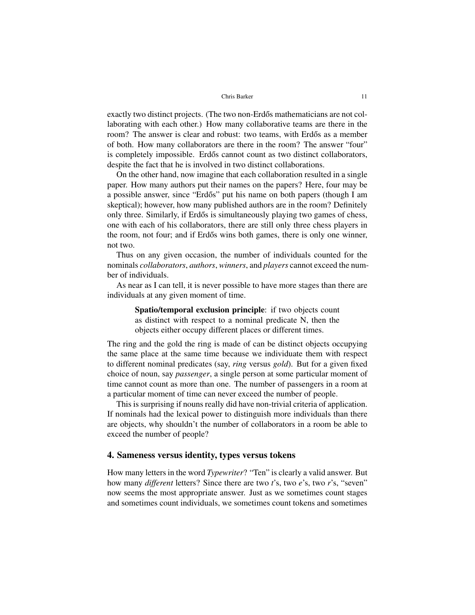exactly two distinct projects. (The two non-Erdős mathematicians are not collaborating with each other.) How many collaborative teams are there in the room? The answer is clear and robust: two teams, with Erdős as a member of both. How many collaborators are there in the room? The answer "four" is completely impossible. Erdős cannot count as two distinct collaborators, despite the fact that he is involved in two distinct collaborations.

On the other hand, now imagine that each collaboration resulted in a single paper. How many authors put their names on the papers? Here, four may be a possible answer, since "Erdős" put his name on both papers (though I am skeptical); however, how many published authors are in the room? Definitely only three. Similarly, if Erdős is simultaneously playing two games of chess, one with each of his collaborators, there are still only three chess players in the room, not four; and if Erdős wins both games, there is only one winner, not two.

Thus on any given occasion, the number of individuals counted for the nominals *collaborators*, *authors*, *winners*, and *players* cannot exceed the number of individuals.

As near as I can tell, it is never possible to have more stages than there are individuals at any given moment of time.

> Spatio/temporal exclusion principle: if two objects count as distinct with respect to a nominal predicate N, then the objects either occupy different places or different times.

The ring and the gold the ring is made of can be distinct objects occupying the same place at the same time because we individuate them with respect to different nominal predicates (say, *ring* versus *gold*). But for a given fixed choice of noun, say *passenger*, a single person at some particular moment of time cannot count as more than one. The number of passengers in a room at a particular moment of time can never exceed the number of people.

This is surprising if nouns really did have non-trivial criteria of application. If nominals had the lexical power to distinguish more individuals than there are objects, why shouldn't the number of collaborators in a room be able to exceed the number of people?

# 4. Sameness versus identity, types versus tokens

How many letters in the word *Typewriter*? "Ten" is clearly a valid answer. But how many *different* letters? Since there are two *t*'s, two *e*'s, two *r*'s, "seven" now seems the most appropriate answer. Just as we sometimes count stages and sometimes count individuals, we sometimes count tokens and sometimes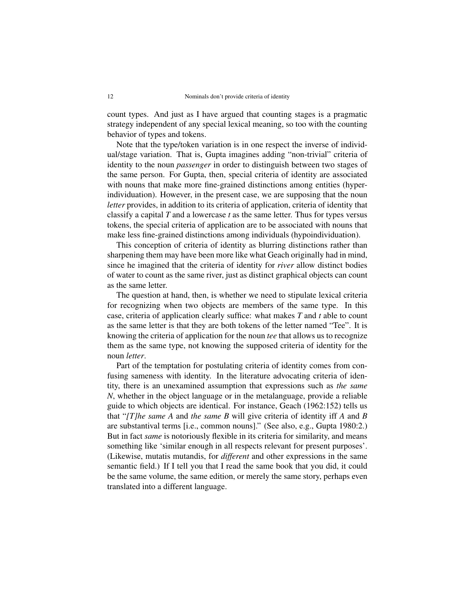count types. And just as I have argued that counting stages is a pragmatic strategy independent of any special lexical meaning, so too with the counting behavior of types and tokens.

Note that the type/token variation is in one respect the inverse of individual/stage variation. That is, Gupta imagines adding "non-trivial" criteria of identity to the noun *passenger* in order to distinguish between two stages of the same person. For Gupta, then, special criteria of identity are associated with nouns that make more fine-grained distinctions among entities (hyperindividuation). However, in the present case, we are supposing that the noun *letter* provides, in addition to its criteria of application, criteria of identity that classify a capital *T* and a lowercase *t* as the same letter. Thus for types versus tokens, the special criteria of application are to be associated with nouns that make less fine-grained distinctions among individuals (hypoindividuation).

This conception of criteria of identity as blurring distinctions rather than sharpening them may have been more like what Geach originally had in mind, since he imagined that the criteria of identity for *river* allow distinct bodies of water to count as the same river, just as distinct graphical objects can count as the same letter.

The question at hand, then, is whether we need to stipulate lexical criteria for recognizing when two objects are members of the same type. In this case, criteria of application clearly suffice: what makes *T* and *t* able to count as the same letter is that they are both tokens of the letter named "Tee". It is knowing the criteria of application for the noun *tee* that allows us to recognize them as the same type, not knowing the supposed criteria of identity for the noun *letter*.

Part of the temptation for postulating criteria of identity comes from confusing sameness with identity. In the literature advocating criteria of identity, there is an unexamined assumption that expressions such as *the same N*, whether in the object language or in the metalanguage, provide a reliable guide to which objects are identical. For instance, Geach (1962:152) tells us that "*[T]he same A* and *the same B* will give criteria of identity iff *A* and *B* are substantival terms [i.e., common nouns]." (See also, e.g., Gupta 1980:2.) But in fact *same* is notoriously flexible in its criteria for similarity, and means something like 'similar enough in all respects relevant for present purposes'. (Likewise, mutatis mutandis, for *different* and other expressions in the same semantic field.) If I tell you that I read the same book that you did, it could be the same volume, the same edition, or merely the same story, perhaps even translated into a different language.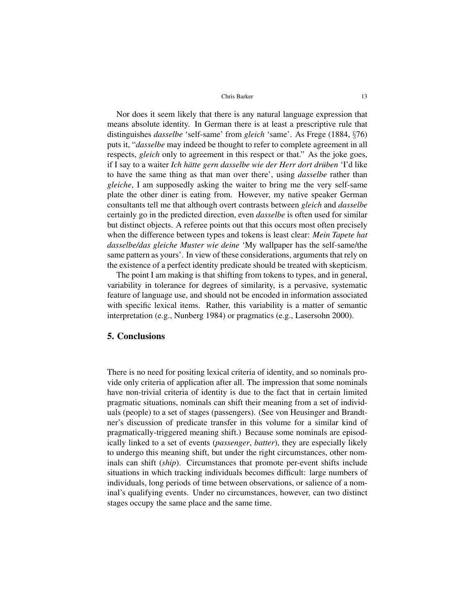Nor does it seem likely that there is any natural language expression that means absolute identity. In German there is at least a prescriptive rule that distinguishes *dasselbe* 'self-same' from *gleich* 'same'. As Frege (1884, §76) puts it, "*dasselbe* may indeed be thought to refer to complete agreement in all respects, *gleich* only to agreement in this respect or that." As the joke goes, if I say to a waiter *Ich hätte gern dasselbe wie der Herr dort drüben* 'I'd like to have the same thing as that man over there', using *dasselbe* rather than *gleiche*, I am supposedly asking the waiter to bring me the very self-same plate the other diner is eating from. However, my native speaker German consultants tell me that although overt contrasts between *gleich* and *dasselbe* certainly go in the predicted direction, even *dasselbe* is often used for similar but distinct objects. A referee points out that this occurs most often precisely when the difference between types and tokens is least clear: *Mein Tapete hat dasselbe/das gleiche Muster wie deine* 'My wallpaper has the self-same/the same pattern as yours'. In view of these considerations, arguments that rely on the existence of a perfect identity predicate should be treated with skepticism.

The point I am making is that shifting from tokens to types, and in general, variability in tolerance for degrees of similarity, is a pervasive, systematic feature of language use, and should not be encoded in information associated with specific lexical items. Rather, this variability is a matter of semantic interpretation (e.g., Nunberg 1984) or pragmatics (e.g., Lasersohn 2000).

# 5. Conclusions

There is no need for positing lexical criteria of identity, and so nominals provide only criteria of application after all. The impression that some nominals have non-trivial criteria of identity is due to the fact that in certain limited pragmatic situations, nominals can shift their meaning from a set of individuals (people) to a set of stages (passengers). (See von Heusinger and Brandtner's discussion of predicate transfer in this volume for a similar kind of pragmatically-triggered meaning shift.) Because some nominals are episodically linked to a set of events (*passenger*, *batter*), they are especially likely to undergo this meaning shift, but under the right circumstances, other nominals can shift (*ship*). Circumstances that promote per-event shifts include situations in which tracking individuals becomes difficult: large numbers of individuals, long periods of time between observations, or salience of a nominal's qualifying events. Under no circumstances, however, can two distinct stages occupy the same place and the same time.